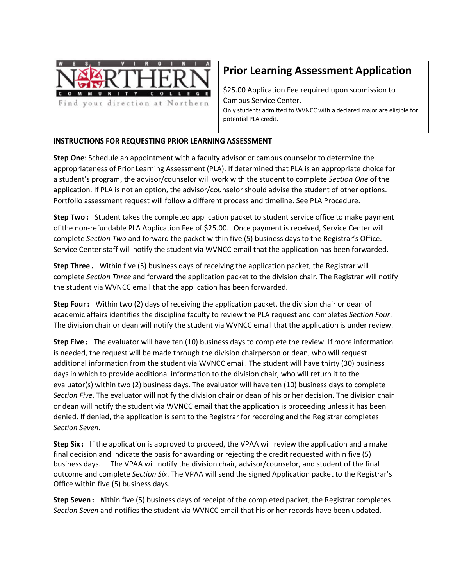

# **Prior Learning Assessment Application**

\$25.00 Application Fee required upon submission to Campus Service Center. Only students admitted to WVNCC with a declared major are eligible for potential PLA credit.

### **INSTRUCTIONS FOR REQUESTING PRIOR LEARNING ASSESSMENT**

**Step One**: Schedule an appointment with a faculty advisor or campus counselor to determine the appropriateness of Prior Learning Assessment (PLA). If determined that PLA is an appropriate choice for a student's program, the advisor/counselor will work with the student to complete *Section One* of the application. If PLA is not an option, the advisor/counselor should advise the student of other options. Portfolio assessment request will follow a different process and timeline. See PLA Procedure.

**Step Two**: Student takes the completed application packet to student service office to make payment of the non-refundable PLA Application Fee of \$25.00. Once payment is received, Service Center will complete *Section Two* and forward the packet within five (5) business days to the Registrar's Office. Service Center staff will notify the student via WVNCC email that the application has been forwarded.

**Step Three**. Within five (5) business days of receiving the application packet, the Registrar will complete *Section Three* and forward the application packet to the division chair. The Registrar will notify the student via WVNCC email that the application has been forwarded.

**Step Four**: Within two (2) days of receiving the application packet, the division chair or dean of academic affairs identifies the discipline faculty to review the PLA request and completes *Section Four*. The division chair or dean will notify the student via WVNCC email that the application is under review.

**Step Five**: The evaluator will have ten (10) business days to complete the review. If more information is needed, the request will be made through the division chairperson or dean, who will request additional information from the student via WVNCC email. The student will have thirty (30) business days in which to provide additional information to the division chair, who will return it to the evaluator(s) within two (2) business days. The evaluator will have ten (10) business days to complete *Section Five*. The evaluator will notify the division chair or dean of his or her decision. The division chair or dean will notify the student via WVNCC email that the application is proceeding unless it has been denied. If denied, the application is sent to the Registrar for recording and the Registrar completes *Section Seven*.

**Step Six**: If the application is approved to proceed, the VPAA will review the application and a make final decision and indicate the basis for awarding or rejecting the credit requested within five (5) business days. The VPAA will notify the division chair, advisor/counselor, and student of the final outcome and complete *Section Six*. The VPAA will send the signed Application packet to the Registrar's Office within five (5) business days.

**Step Seven**: Within five (5) business days of receipt of the completed packet, the Registrar completes *Section Seven* and notifies the student via WVNCC email that his or her records have been updated.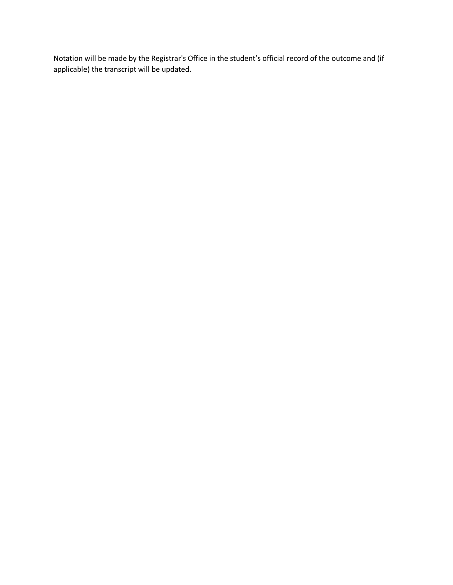Notation will be made by the Registrar's Office in the student's official record of the outcome and (if applicable) the transcript will be updated.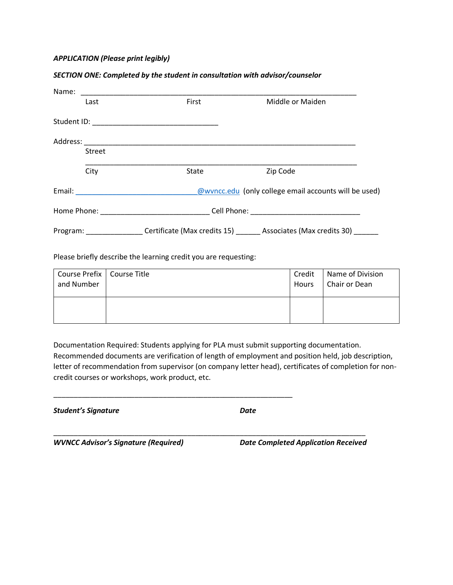#### *APPLICATION (Please print legibly)*

#### *SECTION ONE: Completed by the student in consultation with advisor/counselor*

| Name:                                                                                                                                                                                                                         |        |       |                                                                                                     |  |  |
|-------------------------------------------------------------------------------------------------------------------------------------------------------------------------------------------------------------------------------|--------|-------|-----------------------------------------------------------------------------------------------------|--|--|
|                                                                                                                                                                                                                               | Last   | First | Middle or Maiden                                                                                    |  |  |
|                                                                                                                                                                                                                               |        |       |                                                                                                     |  |  |
|                                                                                                                                                                                                                               |        |       |                                                                                                     |  |  |
|                                                                                                                                                                                                                               | Street |       |                                                                                                     |  |  |
|                                                                                                                                                                                                                               | City   | State | Zip Code                                                                                            |  |  |
| Email: <u>Contract Communication</u>                                                                                                                                                                                          |        |       | @wvncc.edu (only college email accounts will be used)                                               |  |  |
| Home Phone: Now a series and the series of the series of the series of the series of the series of the series of the series of the series of the series of the series of the series of the series of the series of the series |        |       |                                                                                                     |  |  |
|                                                                                                                                                                                                                               |        |       | Program: __________________Certificate (Max credits 15) _______ Associates (Max credits 30) _______ |  |  |

Please briefly describe the learning credit you are requesting:

\_\_\_\_\_\_\_\_\_\_\_\_\_\_\_\_\_\_\_\_\_\_\_\_\_\_\_\_\_\_\_\_\_\_\_\_\_\_\_\_\_\_\_\_\_\_\_\_\_\_\_\_\_\_\_\_\_\_\_

| Course Prefix   Course Title | Credit | Name of Division |
|------------------------------|--------|------------------|
| and Number                   | Hours  | Chair or Dean    |
|                              |        |                  |

Documentation Required: Students applying for PLA must submit supporting documentation. Recommended documents are verification of length of employment and position held, job description, letter of recommendation from supervisor (on company letter head), certificates of completion for noncredit courses or workshops, work product, etc.

\_\_\_\_\_\_\_\_\_\_\_\_\_\_\_\_\_\_\_\_\_\_\_\_\_\_\_\_\_\_\_\_\_\_\_\_\_\_\_\_\_\_\_\_\_\_\_\_\_\_\_\_\_\_\_\_\_\_\_\_\_\_\_\_\_\_\_\_\_\_\_\_\_\_\_\_\_

*Student's Signature Date*

*WVNCC Advisor's Signature (Required) Date Completed Application Received*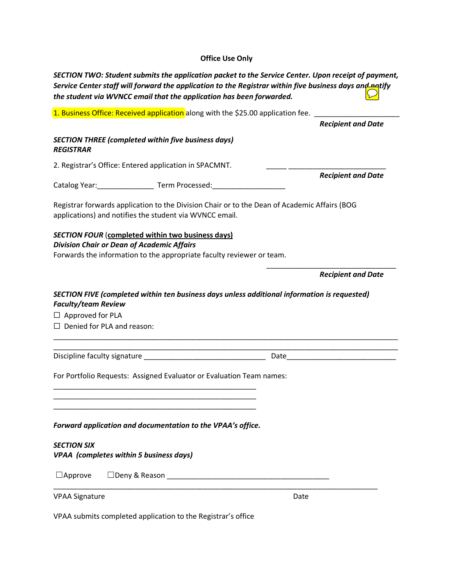# **Office Use Only**

| SECTION TWO: Student submits the application packet to the Service Center. Upon receipt of payment,<br>Service Center staff will forward the application to the Registrar within five business days and natify<br>the student via WVNCC email that the application has been forwarded. |                                                                                                                                                                                                                                |
|----------------------------------------------------------------------------------------------------------------------------------------------------------------------------------------------------------------------------------------------------------------------------------------|--------------------------------------------------------------------------------------------------------------------------------------------------------------------------------------------------------------------------------|
| 1. Business Office: Received application along with the \$25.00 application fee.                                                                                                                                                                                                       |                                                                                                                                                                                                                                |
|                                                                                                                                                                                                                                                                                        | <b>Recipient and Date</b>                                                                                                                                                                                                      |
| <b>SECTION THREE (completed within five business days)</b><br><b>REGISTRAR</b>                                                                                                                                                                                                         |                                                                                                                                                                                                                                |
| 2. Registrar's Office: Entered application in SPACMNT.                                                                                                                                                                                                                                 |                                                                                                                                                                                                                                |
| Catalog Year: ____________________ Term Processed: ___________                                                                                                                                                                                                                         | <b>Recipient and Date</b>                                                                                                                                                                                                      |
| Registrar forwards application to the Division Chair or to the Dean of Academic Affairs (BOG<br>applications) and notifies the student via WVNCC email.                                                                                                                                |                                                                                                                                                                                                                                |
| <b>SECTION FOUR (completed within two business days)</b><br><b>Division Chair or Dean of Academic Affairs</b><br>Forwards the information to the appropriate faculty reviewer or team.                                                                                                 |                                                                                                                                                                                                                                |
|                                                                                                                                                                                                                                                                                        | <b>Recipient and Date</b>                                                                                                                                                                                                      |
| SECTION FIVE (completed within ten business days unless additional information is requested)<br><b>Faculty/team Review</b><br>$\Box$ Approved for PLA<br>$\Box$ Denied for PLA and reason:                                                                                             |                                                                                                                                                                                                                                |
| Discipline faculty signature example and the set of the set of the set of the set of the set of the set of the                                                                                                                                                                         | Date and the contract of the contract of the contract of the contract of the contract of the contract of the contract of the contract of the contract of the contract of the contract of the contract of the contract of the c |
| For Portfolio Requests: Assigned Evaluator or Evaluation Team names:                                                                                                                                                                                                                   |                                                                                                                                                                                                                                |
| Forward application and documentation to the VPAA's office.                                                                                                                                                                                                                            |                                                                                                                                                                                                                                |
| <b>SECTION SIX</b><br><b>VPAA</b> (completes within 5 business days)                                                                                                                                                                                                                   |                                                                                                                                                                                                                                |
| $\Box$ Approve<br>$\Box$ Deny & Reason $\Box$                                                                                                                                                                                                                                          |                                                                                                                                                                                                                                |
| <b>VPAA Signature</b>                                                                                                                                                                                                                                                                  | Date                                                                                                                                                                                                                           |

VPAA submits completed application to the Registrar's office